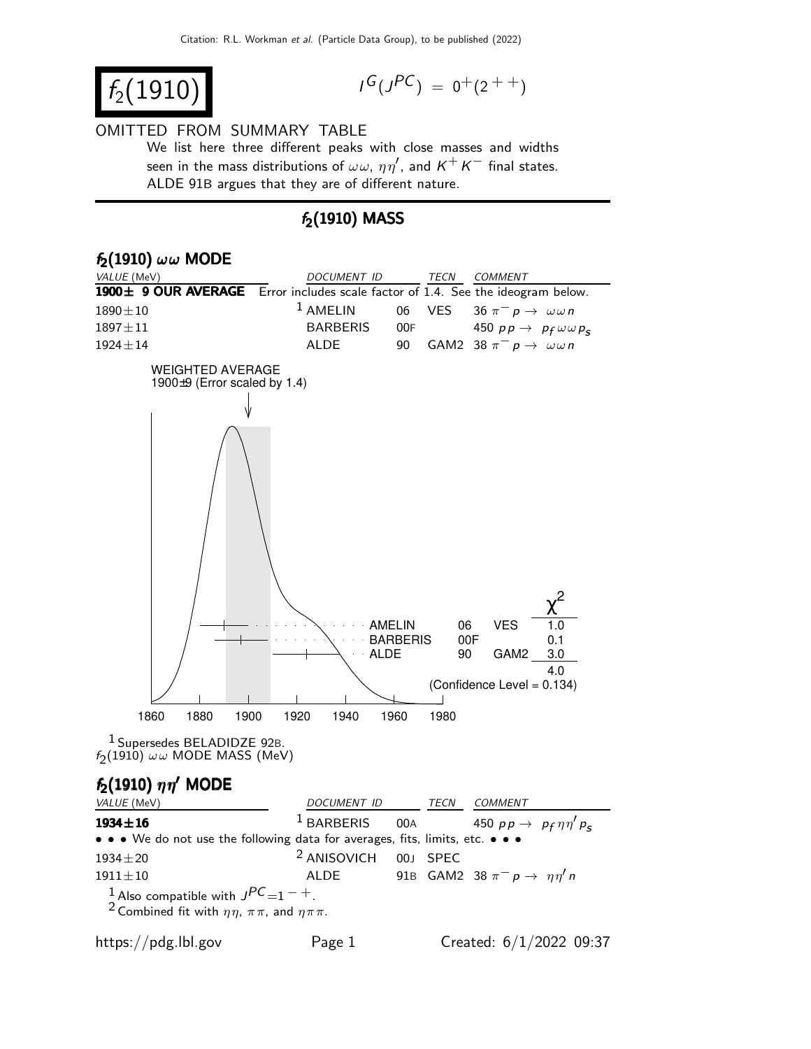$f_2(1910)$ 

$$
I^G(J^{PC}) = 0^+(2^{++})
$$

#### OMITTED FROM SUMMARY TABLE

We list here three different peaks with close masses and widths seen in the mass distributions of  $\omega \omega$ ,  $\eta \eta'$ , and  $K^+ K^-$  final states. ALDE 91B argues that they are of different nature.

#### $f_2(1910)$  MASS

| $f_2(1910)$ $\omega\omega$ MODE                                                      |                                                                            |
|--------------------------------------------------------------------------------------|----------------------------------------------------------------------------|
| VALUE (MeV)                                                                          | DOCUMENT ID<br><b>TECN</b><br>COMMENT                                      |
| 1900± 9 OUR AVERAGE                                                                  | Error includes scale factor of 1.4. See the ideogram below.                |
| $1890 \pm 10$                                                                        | $1$ AMELIN<br><b>VES</b><br>06<br>$36 \pi^- p \rightarrow \omega \omega n$ |
| $1897 \pm 11$                                                                        | <b>BARBERIS</b><br>00F<br>450 $pp \rightarrow p_f \omega \omega p_s$       |
| $1924 \pm 14$                                                                        | <b>ALDE</b><br>90<br>GAM2 38 $\pi^- p \rightarrow \omega \omega n$         |
| <b>WEIGHTED AVERAGE</b><br>1900 $\pm$ 9 (Error scaled by 1.4)                        |                                                                            |
|                                                                                      |                                                                            |
|                                                                                      | 06<br><b>VES</b><br>1.0<br><b>AMELIN</b>                                   |
|                                                                                      | 00F<br><b>BARBERIS</b><br>0.1<br>· ALDE<br>3.0<br>90<br>GAM2               |
|                                                                                      | 4.0<br>(Confidence Level = 0.134)                                          |
|                                                                                      |                                                                            |
| 1860<br>1880<br>1900                                                                 | 1920<br>1940<br>1960<br>1980                                               |
| <sup>1</sup> Supersedes BELADIDZE 92B.<br>$f_2(1910)$ $\omega\omega$ MODE MASS (MeV) |                                                                            |
| $f_2(1910)$ $\eta\eta'$ MODE                                                         |                                                                            |
| VALUE (MeV)                                                                          | DOCUMENT ID<br><b>TECN</b><br>COMMENT                                      |

**1934** $\pm$ **16** 1 BARBERIS 00A 450 pp  $\rightarrow$  p<sub>f</sub> 450  $pp \rightarrow pp \eta \eta' p_s$ • • • We do not use the following data for averages, fits, limits, etc. • • •  $1934 \pm 20$  <sup>2</sup> ANISOVICH 00J SPEC  $1911 \pm 10$  ALDE 91B GAM2 38  $\pi^-$  p →  $\eta \eta'$  n 1 Also compatible with  $J^{PC}=1^-$  +. <sup>2</sup> Combined fit with  $\eta\eta$ ,  $\pi\pi$ , and  $\eta\pi\pi$ .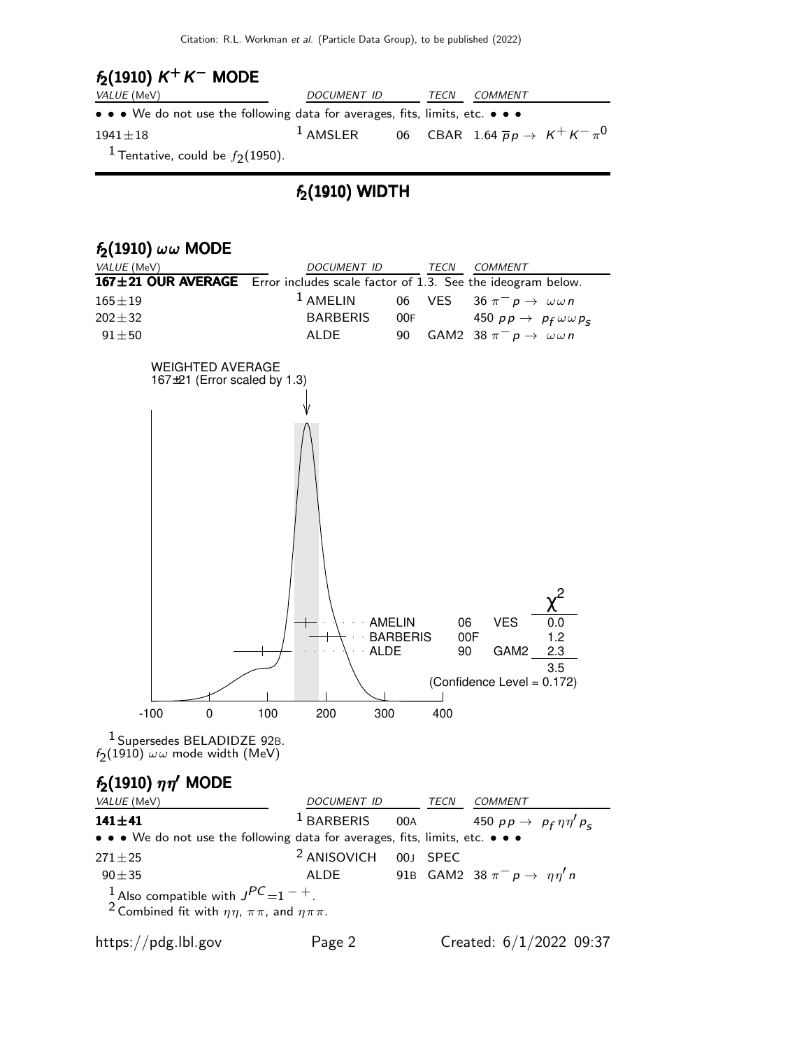## $f_2(1910) K^+ K^-$  MODE

| VALUE (MeV)                                                                                                           | DOCUMENT ID                                                              | TECN | <i>COMMENT</i> |  |
|-----------------------------------------------------------------------------------------------------------------------|--------------------------------------------------------------------------|------|----------------|--|
| $\bullet \bullet \bullet$ We do not use the following data for averages, fits, limits, etc. $\bullet \bullet \bullet$ |                                                                          |      |                |  |
| $1941 \pm 18$                                                                                                         | <sup>1</sup> AMSLER 06 CBAR 1.64 $\overline{p}p \rightarrow K^+K^-\pi^0$ |      |                |  |
| <sup>1</sup> Tentative, could be $f_2(1950)$ .                                                                        |                                                                          |      |                |  |

#### $f_2(1910)$  WIDTH



<sup>2</sup> Combined fit with  $\eta \eta$ ,  $\pi \pi$ , and  $\eta \pi \pi$ .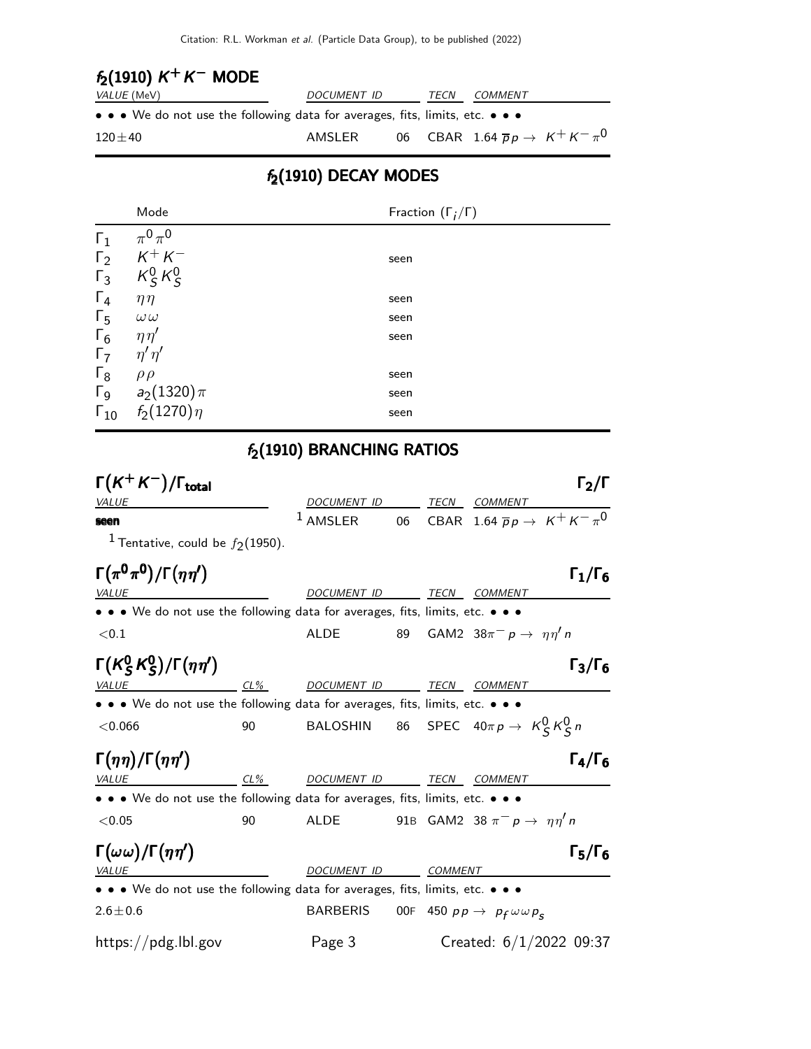## $f_2(1910) K^+ K^-$  MODE

| <i>VALUE</i> (MeV)                                                            | DOCUMENT ID | TECN | <i>COMMENT</i> |                                                        |
|-------------------------------------------------------------------------------|-------------|------|----------------|--------------------------------------------------------|
| • • • We do not use the following data for averages, fits, limits, etc. • • • |             |      |                |                                                        |
| $120 \pm 40$                                                                  | AMSLER      |      |                | 06 CBAR 1.64 $\overline{p}p \rightarrow K^+ K^- \pi^0$ |

### $f_2(1910)$  DECAY MODES

|                       | Mode             | Fraction $(\Gamma_i/\Gamma)$ |
|-----------------------|------------------|------------------------------|
| $\Gamma_1$            | $\pi^0\pi^0$     |                              |
| $\Gamma_2$            | $K^+ K^-$        | seen                         |
| $\Gamma_3$            | $K_S^0 K_S^0$    |                              |
| $\Gamma_4$            | $\eta\eta$       | seen                         |
| $\Gamma_5$            | $\omega\omega$   | seen                         |
| $\Gamma_6$            | $\eta\eta'$      | seen                         |
| $\Gamma_7$            | $\eta' \eta'$    |                              |
| $\Gamma_8$            | $\rho \rho$      | seen                         |
| $\Gamma$ <sub>9</sub> | $a_2(1320)\,\pi$ | seen                         |
| $\Gamma_{10}$         | $f_2(1270)\eta$  | seen                         |

# $f_2(1910)$  BRANCHING RATIOS

| $\Gamma(K^+K^-)/\Gamma_{\rm total}$                                           |    |                        |    |             | $\Gamma_2/\Gamma$                                    |  |
|-------------------------------------------------------------------------------|----|------------------------|----|-------------|------------------------------------------------------|--|
| <b>VALUE</b>                                                                  |    | DOCUMENT ID            |    | TECN        | COMMENT                                              |  |
| seen                                                                          |    | $1$ AMSLER             | 06 |             | CBAR 1.64 $\overline{p}p \rightarrow K^+ K^- \pi^0$  |  |
| <sup>1</sup> Tentative, could be $f_2(1950)$ .                                |    |                        |    |             |                                                      |  |
| $\Gamma(\pi^0\pi^0)/\Gamma(\eta\eta')$                                        |    |                        |    |             | $\Gamma_1/\Gamma_6$                                  |  |
| VALUE                                                                         |    | <b>DOCUMENT ID</b>     |    |             | TECN COMMENT                                         |  |
| • • • We do not use the following data for averages, fits, limits, etc. • • • |    |                        |    |             |                                                      |  |
| $<$ 0.1                                                                       |    | ALDE                   | 89 |             | GAM2 $38\pi^{-} p \rightarrow \eta \eta' n$          |  |
| $\Gamma(K_S^0 K_S^0)/\Gamma(\eta\eta')$                                       |    |                        |    |             | $\Gamma_3/\Gamma_6$                                  |  |
| <b>VALUE</b>                                                                  |    | <u>CL% DOCUMENT ID</u> |    |             | TECN COMMENT                                         |  |
| • • • We do not use the following data for averages, fits, limits, etc. • • • |    |                        |    |             |                                                      |  |
| < 0.066                                                                       | 90 |                        |    |             | BALOSHIN 86 SPEC $40\pi p \rightarrow K_S^0 K_S^0 n$ |  |
| $\Gamma(\eta\eta)/\Gamma(\eta\eta')$                                          |    |                        |    |             | $\Gamma_4/\Gamma_6$                                  |  |
| $CL\%$<br><i>VALUE</i>                                                        |    | <b>DOCUMENT ID</b>     |    | <b>TECN</b> | <b>COMMENT</b>                                       |  |
| • • • We do not use the following data for averages, fits, limits, etc. • • • |    |                        |    |             |                                                      |  |
| < 0.05                                                                        | 90 | <b>ALDE</b>            |    |             | 91B GAM2 38 $\pi^ p \rightarrow \eta \eta'$ n        |  |
| $\Gamma(\omega\omega)/\Gamma(\eta\eta')$                                      |    |                        |    |             | $\Gamma_5/\Gamma_6$                                  |  |
| <i>VALUE</i>                                                                  |    | DOCUMENT ID            |    | COMMENT     |                                                      |  |
| • • • We do not use the following data for averages, fits, limits, etc. • • • |    |                        |    |             |                                                      |  |
| $2.6 \pm 0.6$                                                                 |    | <b>BARBERIS</b>        |    |             | OOF 450 $pp \rightarrow p_f \omega \omega p_s$       |  |
| https://pdg.lbl.gov                                                           |    | Page 3                 |    |             | Created: $6/1/2022$ 09:37                            |  |